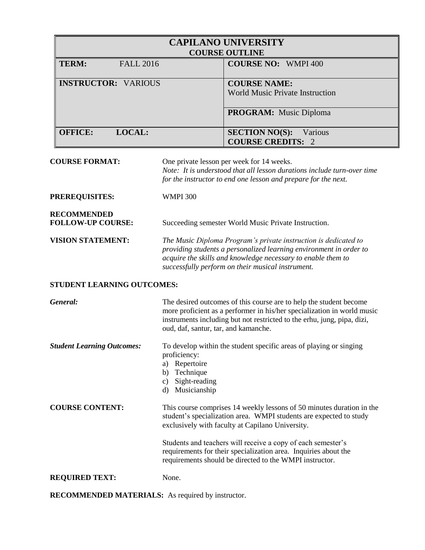| <b>CAPILANO UNIVERSITY</b><br><b>COURSE OUTLINE</b> |                                                              |  |  |
|-----------------------------------------------------|--------------------------------------------------------------|--|--|
| TERM:<br><b>FALL 2016</b>                           | <b>COURSE NO: WMPI 400</b>                                   |  |  |
| <b>INSTRUCTOR: VARIOUS</b>                          | <b>COURSE NAME:</b><br>World Music Private Instruction       |  |  |
|                                                     | <b>PROGRAM:</b> Music Diploma                                |  |  |
| <b>OFFICE:</b><br>LOCAL:                            | <b>SECTION NO(S):</b><br>Various<br><b>COURSE CREDITS: 2</b> |  |  |

**COURSE FORMAT:** One private lesson per week for 14 weeks.

*Note: It is understood that all lesson durations include turn-over time for the instructor to end one lesson and prepare for the next.*

**PREREQUISITES:** WMPI 300

**RECOMMENDED**

FOLLOW-UP COURSE: Succeeding semester World Music Private Instruction.

**VISION STATEMENT:** *The Music Diploma Program's private instruction is dedicated to providing students a personalized learning environment in order to acquire the skills and knowledge necessary to enable them to successfully perform on their musical instrument.* 

## **STUDENT LEARNING OUTCOMES:**

| General:                          | The desired outcomes of this course are to help the student become<br>more proficient as a performer in his/her specialization in world music<br>instruments including but not restricted to the erhu, jung, pipa, dizi,<br>oud, daf, santur, tar, and kamanche.                                                                                                                              |
|-----------------------------------|-----------------------------------------------------------------------------------------------------------------------------------------------------------------------------------------------------------------------------------------------------------------------------------------------------------------------------------------------------------------------------------------------|
| <b>Student Learning Outcomes:</b> | To develop within the student specific areas of playing or singing<br>proficiency:<br>Repertoire<br>a)<br>Technique<br>b)<br>Sight-reading<br>C)<br>Musicianship<br>d)                                                                                                                                                                                                                        |
| <b>COURSE CONTENT:</b>            | This course comprises 14 weekly lessons of 50 minutes duration in the<br>student's specialization area. WMPI students are expected to study<br>exclusively with faculty at Capilano University.<br>Students and teachers will receive a copy of each semester's<br>requirements for their specialization area. Inquiries about the<br>requirements should be directed to the WMPI instructor. |
| <b>REQUIRED TEXT:</b>             | None.                                                                                                                                                                                                                                                                                                                                                                                         |

**RECOMMENDED MATERIALS:** As required by instructor.